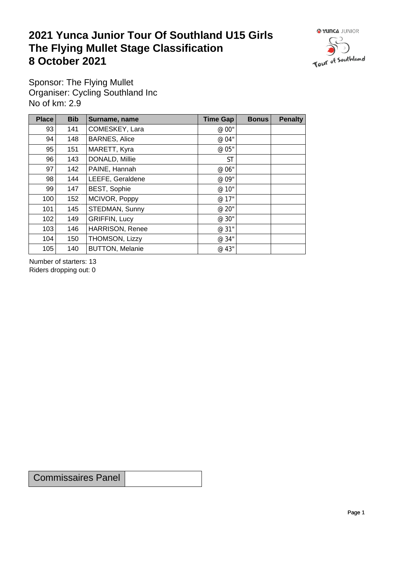## **2021 Yunca Junior Tour Of Southland U15 Girls** The Flying Mullet Stage Classification<br>8 October 2021 **8 October 2021**



Sponsor: The Flying Mullet Organiser: Cycling Southland Inc No of km: 2.9

| Place | <b>Bib</b> | Surname, name          | <b>Time Gap</b> | <b>Bonus</b> | <b>Penalty</b> |
|-------|------------|------------------------|-----------------|--------------|----------------|
| 93    | 141        | COMESKEY, Lara         | @ 00"           |              |                |
| 94    | 148        | <b>BARNES, Alice</b>   | @ 04"           |              |                |
| 95    | 151        | MARETT, Kyra           | @ 05"           |              |                |
| 96    | 143        | DONALD, Millie         | <b>ST</b>       |              |                |
| 97    | 142        | PAINE, Hannah          | @ 06"           |              |                |
| 98    | 144        | LEEFE, Geraldene       | @ 09"           |              |                |
| 99    | 147        | <b>BEST, Sophie</b>    | @ 10"           |              |                |
| 100   | 152        | MCIVOR, Poppy          | @ 17"           |              |                |
| 101   | 145        | STEDMAN, Sunny         | @ 20"           |              |                |
| 102   | 149        | <b>GRIFFIN, Lucy</b>   | @ 30"           |              |                |
| 103   | 146        | <b>HARRISON, Renee</b> | @ 31"           |              |                |
| 104   | 150        | THOMSON, Lizzy         | @ 34"           |              |                |
| 105   | 140        | <b>BUTTON, Melanie</b> | @ 43"           |              |                |

Number of starters: 13 Riders dropping out: 0

Commissaires Panel